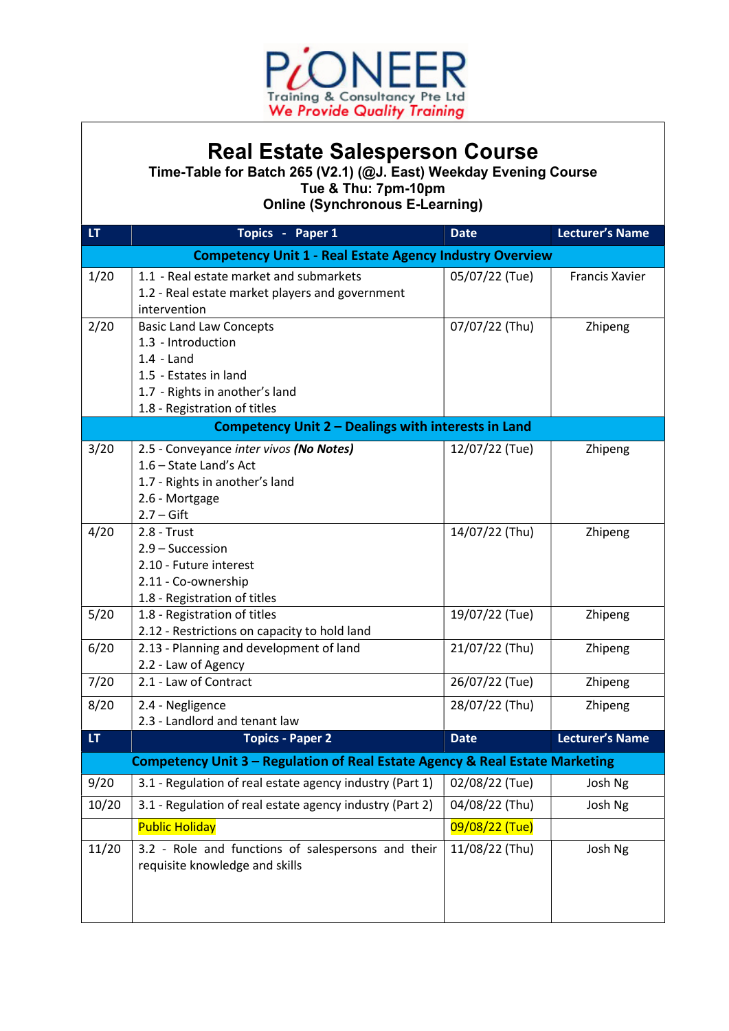

## Real Estate Salesperson Course

Time-Table for Batch 265 (V2.1) (@J. East) Weekday Evening Course Tue & Thu: 7pm-10pm

Online (Synchronous E-Learning)

| <b>Competency Unit 1 - Real Estate Agency Industry Overview</b><br>1/20<br>1.1 - Real estate market and submarkets<br>05/07/22 (Tue)<br><b>Francis Xavier</b><br>1.2 - Real estate market players and government<br>intervention<br>2/20<br>07/07/22 (Thu)<br><b>Basic Land Law Concepts</b><br>Zhipeng<br>1.3 - Introduction<br>$1.4 -$ Land<br>1.5 - Estates in land<br>1.7 - Rights in another's land<br>1.8 - Registration of titles<br>Competency Unit 2 - Dealings with interests in Land | LT | Topics - Paper 1 | <b>Date</b> | <b>Lecturer's Name</b> |  |  |  |
|-------------------------------------------------------------------------------------------------------------------------------------------------------------------------------------------------------------------------------------------------------------------------------------------------------------------------------------------------------------------------------------------------------------------------------------------------------------------------------------------------|----|------------------|-------------|------------------------|--|--|--|
|                                                                                                                                                                                                                                                                                                                                                                                                                                                                                                 |    |                  |             |                        |  |  |  |
|                                                                                                                                                                                                                                                                                                                                                                                                                                                                                                 |    |                  |             |                        |  |  |  |
|                                                                                                                                                                                                                                                                                                                                                                                                                                                                                                 |    |                  |             |                        |  |  |  |
|                                                                                                                                                                                                                                                                                                                                                                                                                                                                                                 |    |                  |             |                        |  |  |  |
|                                                                                                                                                                                                                                                                                                                                                                                                                                                                                                 |    |                  |             |                        |  |  |  |
|                                                                                                                                                                                                                                                                                                                                                                                                                                                                                                 |    |                  |             |                        |  |  |  |
|                                                                                                                                                                                                                                                                                                                                                                                                                                                                                                 |    |                  |             |                        |  |  |  |
|                                                                                                                                                                                                                                                                                                                                                                                                                                                                                                 |    |                  |             |                        |  |  |  |
|                                                                                                                                                                                                                                                                                                                                                                                                                                                                                                 |    |                  |             |                        |  |  |  |
|                                                                                                                                                                                                                                                                                                                                                                                                                                                                                                 |    |                  |             |                        |  |  |  |
|                                                                                                                                                                                                                                                                                                                                                                                                                                                                                                 |    |                  |             |                        |  |  |  |
| 3/20<br>2.5 - Conveyance inter vivos (No Notes)<br>12/07/22 (Tue)<br>Zhipeng                                                                                                                                                                                                                                                                                                                                                                                                                    |    |                  |             |                        |  |  |  |
| 1.6 - State Land's Act                                                                                                                                                                                                                                                                                                                                                                                                                                                                          |    |                  |             |                        |  |  |  |
| 1.7 - Rights in another's land                                                                                                                                                                                                                                                                                                                                                                                                                                                                  |    |                  |             |                        |  |  |  |
| 2.6 - Mortgage                                                                                                                                                                                                                                                                                                                                                                                                                                                                                  |    |                  |             |                        |  |  |  |
| $2.7 - Gift$                                                                                                                                                                                                                                                                                                                                                                                                                                                                                    |    |                  |             |                        |  |  |  |
| 4/20<br>14/07/22 (Thu)<br>$2.8 - Trust$<br>Zhipeng                                                                                                                                                                                                                                                                                                                                                                                                                                              |    |                  |             |                        |  |  |  |
| 2.9 - Succession                                                                                                                                                                                                                                                                                                                                                                                                                                                                                |    |                  |             |                        |  |  |  |
| 2.10 - Future interest                                                                                                                                                                                                                                                                                                                                                                                                                                                                          |    |                  |             |                        |  |  |  |
| 2.11 - Co-ownership                                                                                                                                                                                                                                                                                                                                                                                                                                                                             |    |                  |             |                        |  |  |  |
| 1.8 - Registration of titles<br>5/20<br>1.8 - Registration of titles<br>19/07/22 (Tue)<br>Zhipeng                                                                                                                                                                                                                                                                                                                                                                                               |    |                  |             |                        |  |  |  |
| 2.12 - Restrictions on capacity to hold land                                                                                                                                                                                                                                                                                                                                                                                                                                                    |    |                  |             |                        |  |  |  |
| 6/20<br>2.13 - Planning and development of land<br>21/07/22 (Thu)<br>Zhipeng                                                                                                                                                                                                                                                                                                                                                                                                                    |    |                  |             |                        |  |  |  |
| 2.2 - Law of Agency                                                                                                                                                                                                                                                                                                                                                                                                                                                                             |    |                  |             |                        |  |  |  |
| 7/20<br>2.1 - Law of Contract<br>26/07/22 (Tue)<br>Zhipeng                                                                                                                                                                                                                                                                                                                                                                                                                                      |    |                  |             |                        |  |  |  |
| 8/20<br>28/07/22 (Thu)                                                                                                                                                                                                                                                                                                                                                                                                                                                                          |    |                  |             |                        |  |  |  |
| 2.4 - Negligence<br>Zhipeng<br>2.3 - Landlord and tenant law                                                                                                                                                                                                                                                                                                                                                                                                                                    |    |                  |             |                        |  |  |  |
| LT.<br><b>Lecturer's Name</b><br><b>Topics - Paper 2</b><br><b>Date</b>                                                                                                                                                                                                                                                                                                                                                                                                                         |    |                  |             |                        |  |  |  |
| Competency Unit 3 - Regulation of Real Estate Agency & Real Estate Marketing                                                                                                                                                                                                                                                                                                                                                                                                                    |    |                  |             |                        |  |  |  |
| 9/20<br>3.1 - Regulation of real estate agency industry (Part 1)<br>02/08/22 (Tue)<br>Josh Ng                                                                                                                                                                                                                                                                                                                                                                                                   |    |                  |             |                        |  |  |  |
| 3.1 - Regulation of real estate agency industry (Part 2)<br>10/20<br>04/08/22 (Thu)<br>Josh Ng                                                                                                                                                                                                                                                                                                                                                                                                  |    |                  |             |                        |  |  |  |
| <b>Public Holiday</b><br>09/08/22 (Tue)                                                                                                                                                                                                                                                                                                                                                                                                                                                         |    |                  |             |                        |  |  |  |
|                                                                                                                                                                                                                                                                                                                                                                                                                                                                                                 |    |                  |             |                        |  |  |  |
| 3.2 - Role and functions of salespersons and their<br>11/20<br>11/08/22 (Thu)<br>Josh Ng                                                                                                                                                                                                                                                                                                                                                                                                        |    |                  |             |                        |  |  |  |
| requisite knowledge and skills                                                                                                                                                                                                                                                                                                                                                                                                                                                                  |    |                  |             |                        |  |  |  |
|                                                                                                                                                                                                                                                                                                                                                                                                                                                                                                 |    |                  |             |                        |  |  |  |
|                                                                                                                                                                                                                                                                                                                                                                                                                                                                                                 |    |                  |             |                        |  |  |  |